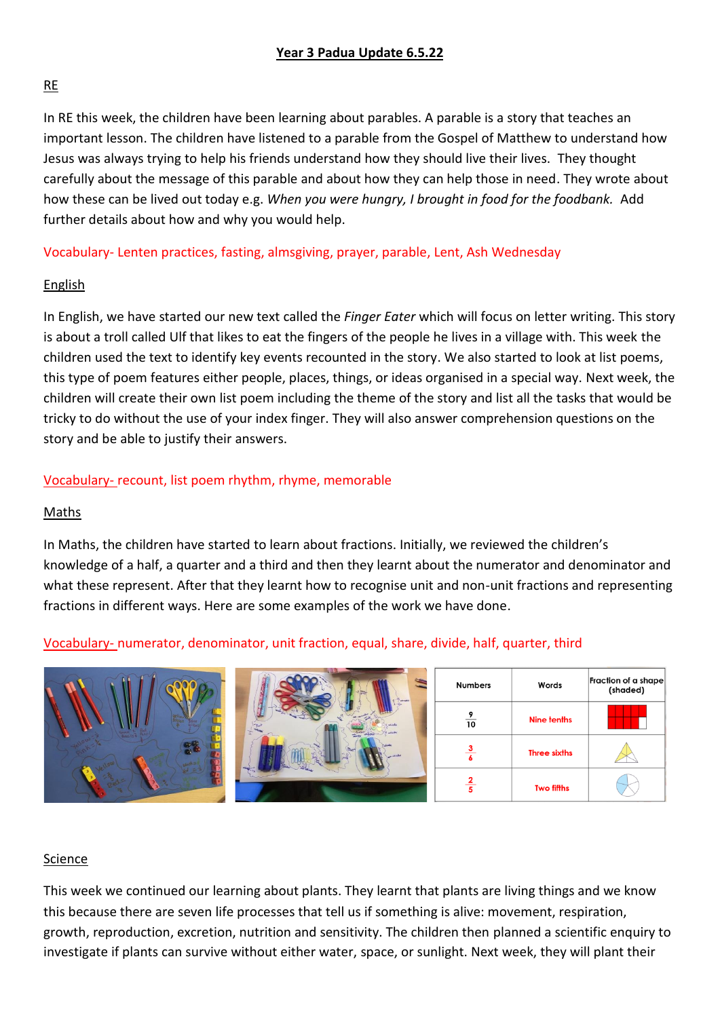## RE

In RE this week, the children have been learning about parables. A parable is a story that teaches an important lesson. The children have listened to a parable from the Gospel of Matthew to understand how Jesus was always trying to help his friends understand how they should live their lives. They thought carefully about the message of this parable and about how they can help those in need. They wrote about how these can be lived out today e.g. *When you were hungry, I brought in food for the foodbank.* Add further details about how and why you would help.

## Vocabulary- Lenten practices, fasting, almsgiving, prayer, parable, Lent, Ash Wednesday

## English

In English, we have started our new text called the *Finger Eater* which will focus on letter writing. This story is about a troll called Ulf that likes to eat the fingers of the people he lives in a village with. This week the children used the text to identify key events recounted in the story. We also started to look at list poems, this type of poem features either people, places, things, or ideas organised in a special way. Next week, the children will create their own list poem including the theme of the story and list all the tasks that would be tricky to do without the use of your index finger. They will also answer comprehension questions on the story and be able to justify their answers.

## Vocabulary- recount, list poem rhythm, rhyme, memorable

### Maths

In Maths, the children have started to learn about fractions. Initially, we reviewed the children's knowledge of a half, a quarter and a third and then they learnt about the numerator and denominator and what these represent. After that they learnt how to recognise unit and non-unit fractions and representing fractions in different ways. Here are some examples of the work we have done.

## Vocabulary- numerator, denominator, unit fraction, equal, share, divide, half, quarter, third



#### Science

This week we continued our learning about plants. They learnt that plants are living things and we know this because there are seven life processes that tell us if something is alive: movement, respiration, growth, reproduction, excretion, nutrition and sensitivity. The children then planned a scientific enquiry to investigate if plants can survive without either water, space, or sunlight. Next week, they will plant their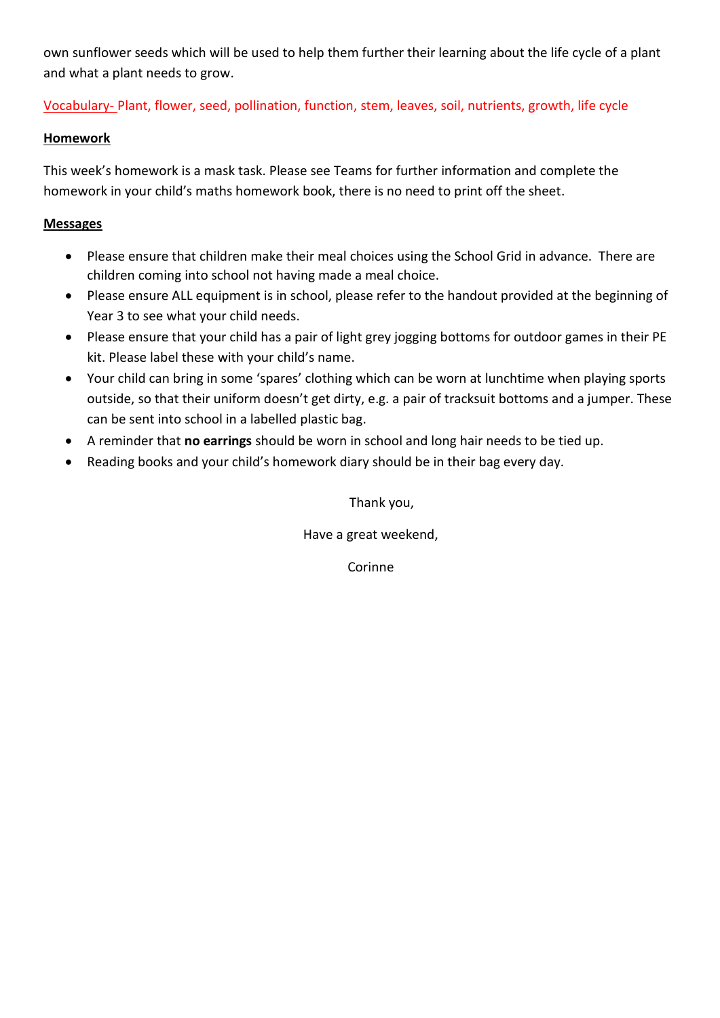own sunflower seeds which will be used to help them further their learning about the life cycle of a plant and what a plant needs to grow.

Vocabulary- Plant, flower, seed, pollination, function, stem, leaves, soil, nutrients, growth, life cycle

## **Homework**

This week's homework is a mask task. Please see Teams for further information and complete the homework in your child's maths homework book, there is no need to print off the sheet.

### **Messages**

- Please ensure that children make their meal choices using the School Grid in advance. There are children coming into school not having made a meal choice.
- Please ensure ALL equipment is in school, please refer to the handout provided at the beginning of Year 3 to see what your child needs.
- Please ensure that your child has a pair of light grey jogging bottoms for outdoor games in their PE kit. Please label these with your child's name.
- Your child can bring in some 'spares' clothing which can be worn at lunchtime when playing sports outside, so that their uniform doesn't get dirty, e.g. a pair of tracksuit bottoms and a jumper. These can be sent into school in a labelled plastic bag.
- A reminder that **no earrings** should be worn in school and long hair needs to be tied up.
- Reading books and your child's homework diary should be in their bag every day.

Thank you,

Have a great weekend,

Corinne